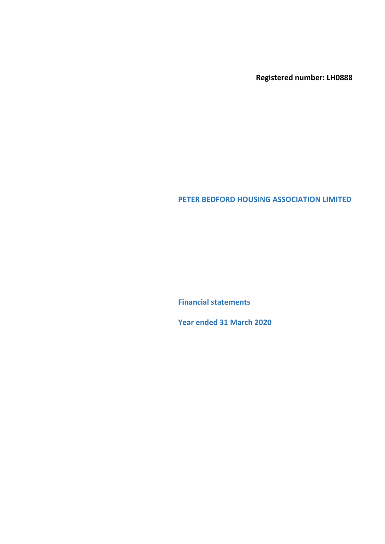**Registered number: LH0888**

# **PETER BEDFORD HOUSING ASSOCIATION LIMITED**

**Financial statements**

**Year ended 31 March 2020**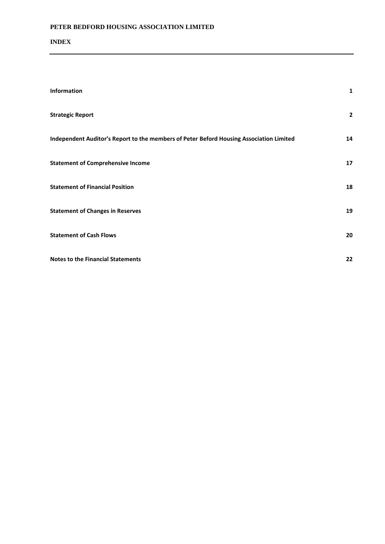### **INDEX**

| Information                                                                             | $\mathbf{1}$            |
|-----------------------------------------------------------------------------------------|-------------------------|
| <b>Strategic Report</b>                                                                 | $\overline{\mathbf{2}}$ |
| Independent Auditor's Report to the members of Peter Beford Housing Association Limited | 14                      |
| <b>Statement of Comprehensive Income</b>                                                | 17                      |
| <b>Statement of Financial Position</b>                                                  | 18                      |
| <b>Statement of Changes in Reserves</b>                                                 | 19                      |
| <b>Statement of Cash Flows</b>                                                          | 20                      |
| <b>Notes to the Financial Statements</b>                                                | 22                      |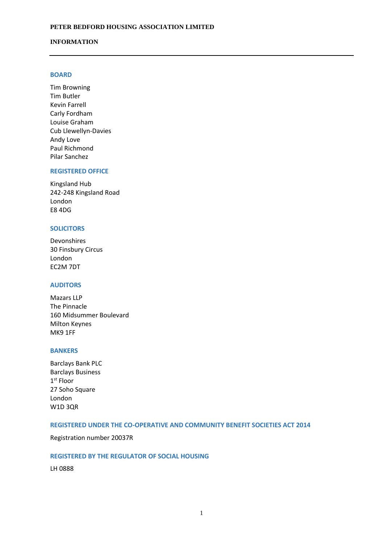## **INFORMATION**

### **BOARD**

Tim Browning Tim Butler Kevin Farrell Carly Fordham Louise Graham Cub Llewellyn-Davies Andy Love Paul Richmond Pilar Sanchez

## **REGISTERED OFFICE**

Kingsland Hub 242-248 Kingsland Road London E8 4DG

### **SOLICITORS**

| Devonshires        |
|--------------------|
| 30 Finsbury Circus |
| London             |
| EC2M 7DT           |

### **AUDITORS**

| <b>Mazars LLP</b>       |
|-------------------------|
| The Pinnacle            |
| 160 Midsummer Boulevard |
| <b>Milton Keynes</b>    |
| MK9 1FF                 |

# **BANKERS**

Barclays Bank PLC Barclays Business 1 st Floor 27 Soho Square London W1D 3QR

# **REGISTERED UNDER THE CO-OPERATIVE AND COMMUNITY BENEFIT SOCIETIES ACT 2014**

Registration number 20037R

## **REGISTERED BY THE REGULATOR OF SOCIAL HOUSING**

LH 0888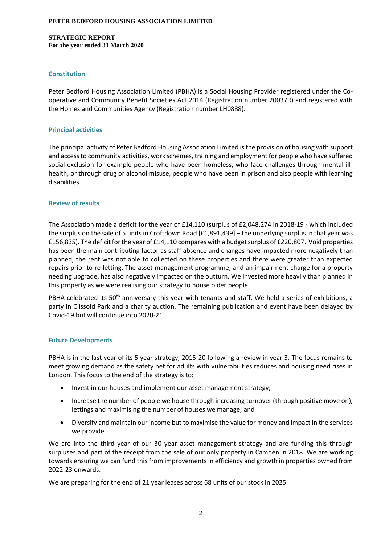### **STRATEGIC REPORT For the year ended 31 March 2020**

## **Constitution**

Peter Bedford Housing Association Limited (PBHA) is a Social Housing Provider registered under the Cooperative and Community Benefit Societies Act 2014 (Registration number 20037R) and registered with the Homes and Communities Agency (Registration number LH0888).

## **Principal activities**

The principal activity of Peter Bedford Housing Association Limited is the provision of housing with support and access to community activities, work schemes, training and employment for people who have suffered social exclusion for example people who have been homeless, who face challenges through mental illhealth, or through drug or alcohol misuse, people who have been in prison and also people with learning disabilities.

### **Review of results**

The Association made a deficit for the year of £14,110 (surplus of £2,048,274 in 2018-19 - which included the surplus on the sale of 5 units in Croftdown Road [£1,891,439] – the underlying surplus in that year was £156,835). The deficit for the year of £14,110 compares with a budget surplus of £220,807. Void properties has been the main contributing factor as staff absence and changes have impacted more negatively than planned, the rent was not able to collected on these properties and there were greater than expected repairs prior to re-letting. The asset management programme, and an impairment charge for a property needing upgrade, has also negatively impacted on the outturn. We invested more heavily than planned in this property as we were realising our strategy to house older people.

PBHA celebrated its 50<sup>th</sup> anniversary this year with tenants and staff. We held a series of exhibitions, a party in Clissold Park and a charity auction. The remaining publication and event have been delayed by Covid-19 but will continue into 2020-21.

## **Future Developments**

PBHA is in the last year of its 5 year strategy, 2015-20 following a review in year 3. The focus remains to meet growing demand as the safety net for adults with vulnerabilities reduces and housing need rises in London. This focus to the end of the strategy is to:

- Invest in our houses and implement our asset management strategy;
- Increase the number of people we house through increasing turnover (through positive move on), lettings and maximising the number of houses we manage; and
- Diversify and maintain our income but to maximise the value for money and impact in the services we provide.

We are into the third year of our 30 year asset management strategy and are funding this through surpluses and part of the receipt from the sale of our only property in Camden in 2018. We are working towards ensuring we can fund this from improvements in efficiency and growth in properties owned from 2022-23 onwards.

We are preparing for the end of 21 year leases across 68 units of our stock in 2025.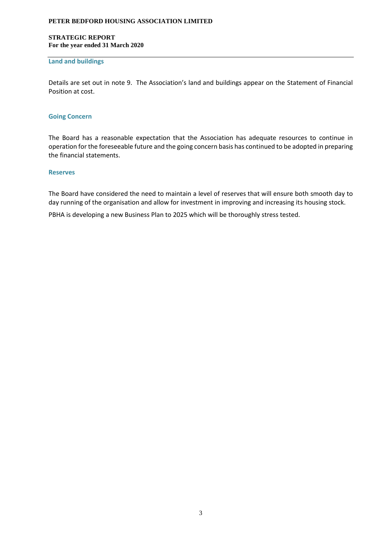#### **STRATEGIC REPORT For the year ended 31 March 2020**

### **Land and buildings**

Details are set out in note 9. The Association's land and buildings appear on the Statement of Financial Position at cost.

## **Going Concern**

The Board has a reasonable expectation that the Association has adequate resources to continue in operation for the foreseeable future and the going concern basis has continued to be adopted in preparing the financial statements.

### **Reserves**

The Board have considered the need to maintain a level of reserves that will ensure both smooth day to day running of the organisation and allow for investment in improving and increasing its housing stock.

PBHA is developing a new Business Plan to 2025 which will be thoroughly stress tested.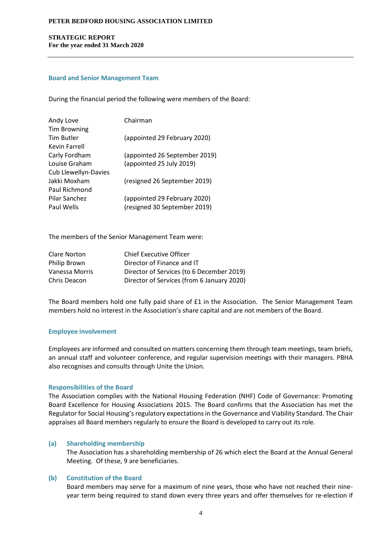#### **STRATEGIC REPORT For the year ended 31 March 2020**

#### **Board and Senior Management Team**

During the financial period the following were members of the Board:

| Andy Love            | Chairman                      |
|----------------------|-------------------------------|
| <b>Tim Browning</b>  |                               |
| Tim Butler           | (appointed 29 February 2020)  |
| Kevin Farrell        |                               |
| Carly Fordham        | (appointed 26 September 2019) |
| Louise Graham        | (appointed 25 July 2019)      |
| Cub Llewellyn-Davies |                               |
| Jakki Moxham         | (resigned 26 September 2019)  |
| Paul Richmond        |                               |
| Pilar Sanchez        | (appointed 29 February 2020)  |
| Paul Wells           | (resigned 30 September 2019)  |

The members of the Senior Management Team were:

| Clare Norton        | <b>Chief Executive Officer</b>             |
|---------------------|--------------------------------------------|
| <b>Philip Brown</b> | Director of Finance and IT                 |
| Vanessa Morris      | Director of Services (to 6 December 2019)  |
| Chris Deacon        | Director of Services (from 6 January 2020) |

The Board members hold one fully paid share of £1 in the Association. The Senior Management Team members hold no interest in the Association's share capital and are not members of the Board.

#### **Employee involvement**

Employees are informed and consulted on matters concerning them through team meetings, team briefs, an annual staff and volunteer conference, and regular supervision meetings with their managers. PBHA also recognises and consults through Unite the Union.

#### **Responsibilities of the Board**

The Association complies with the National Housing Federation (NHF) Code of Governance: Promoting Board Excellence for Housing Associations 2015. The Board confirms that the Association has met the Regulator for Social Housing's regulatory expectations in the Governance and Viability Standard. The Chair appraises all Board members regularly to ensure the Board is developed to carry out its role.

#### **(a) Shareholding membership**

The Association has a shareholding membership of 26 which elect the Board at the Annual General Meeting. Of these, 9 are beneficiaries.

### **(b) Constitution of the Board**

Board members may serve for a maximum of nine years, those who have not reached their nineyear term being required to stand down every three years and offer themselves for re-election if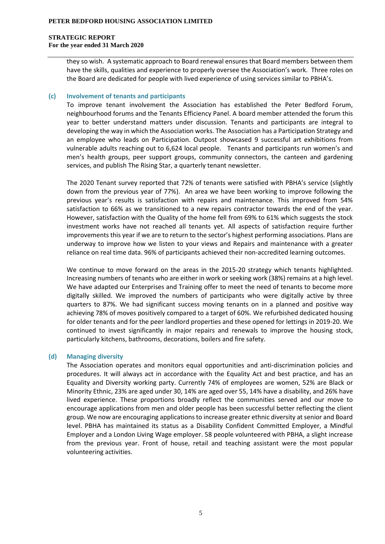### **STRATEGIC REPORT For the year ended 31 March 2020**

they so wish. A systematic approach to Board renewal ensures that Board members between them have the skills, qualities and experience to properly oversee the Association's work. Three roles on the Board are dedicated for people with lived experience of using services similar to PBHA's.

### **(c) Involvement of tenants and participants**

To improve tenant involvement the Association has established the Peter Bedford Forum, neighbourhood forums and the Tenants Efficiency Panel. A board member attended the forum this year to better understand matters under discussion. Tenants and participants are integral to developing the way in which the Association works. The Association has a Participation Strategy and an employee who leads on Participation. Outpost showcased 9 successful art exhibitions from vulnerable adults reaching out to 6,624 local people. Tenants and participants run women's and men's health groups, peer support groups, community connectors, the canteen and gardening services, and publish The Rising Star, a quarterly tenant newsletter.

The 2020 Tenant survey reported that 72% of tenants were satisfied with PBHA's service (slightly down from the previous year of 77%). An area we have been working to improve following the previous year's results is satisfaction with repairs and maintenance. This improved from 54% satisfaction to 66% as we transitioned to a new repairs contractor towards the end of the year. However, satisfaction with the Quality of the home fell from 69% to 61% which suggests the stock investment works have not reached all tenants yet. All aspects of satisfaction require further improvements this year if we are to return to the sector's highest performing associations. Plans are underway to improve how we listen to your views and Repairs and maintenance with a greater reliance on real time data. 96% of participants achieved their non-accredited learning outcomes.

We continue to move forward on the areas in the 2015-20 strategy which tenants highlighted. Increasing numbers of tenants who are either in work or seeking work (38%) remains at a high level. We have adapted our Enterprises and Training offer to meet the need of tenants to become more digitally skilled. We improved the numbers of participants who were digitally active by three quarters to 87%. We had significant success moving tenants on in a planned and positive way achieving 78% of moves positively compared to a target of 60%. We refurbished dedicated housing for older tenants and for the peer landlord properties and these opened for lettings in 2019-20. We continued to invest significantly in major repairs and renewals to improve the housing stock, particularly kitchens, bathrooms, decorations, boilers and fire safety.

#### **(d) Managing diversity**

The Association operates and monitors equal opportunities and anti-discrimination policies and procedures. It will always act in accordance with the Equality Act and best practice, and has an Equality and Diversity working party. Currently 74% of employees are women, 52% are Black or Minority Ethnic, 23% are aged under 30, 14% are aged over 55, 14% have a disability, and 26% have lived experience. These proportions broadly reflect the communities served and our move to encourage applications from men and older people has been successful better reflecting the client group. We now are encouraging applications to increase greater ethnic diversity at senior and Board level. PBHA has maintained its status as a Disability Confident Committed Employer, a Mindful Employer and a London Living Wage employer. 58 people volunteered with PBHA, a slight increase from the previous year. Front of house, retail and teaching assistant were the most popular volunteering activities.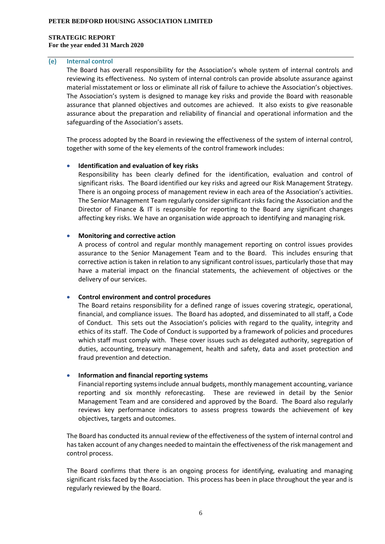#### **STRATEGIC REPORT For the year ended 31 March 2020**

#### **(e) Internal control**

The Board has overall responsibility for the Association's whole system of internal controls and reviewing its effectiveness. No system of internal controls can provide absolute assurance against material misstatement or loss or eliminate all risk of failure to achieve the Association's objectives. The Association's system is designed to manage key risks and provide the Board with reasonable assurance that planned objectives and outcomes are achieved. It also exists to give reasonable assurance about the preparation and reliability of financial and operational information and the safeguarding of the Association's assets.

The process adopted by the Board in reviewing the effectiveness of the system of internal control, together with some of the key elements of the control framework includes:

#### • **Identification and evaluation of key risks**

Responsibility has been clearly defined for the identification, evaluation and control of significant risks. The Board identified our key risks and agreed our Risk Management Strategy. There is an ongoing process of management review in each area of the Association's activities. The Senior Management Team regularly consider significant risks facing the Association and the Director of Finance & IT is responsible for reporting to the Board any significant changes affecting key risks. We have an organisation wide approach to identifying and managing risk.

### • **Monitoring and corrective action**

A process of control and regular monthly management reporting on control issues provides assurance to the Senior Management Team and to the Board. This includes ensuring that corrective action is taken in relation to any significant control issues, particularly those that may have a material impact on the financial statements, the achievement of objectives or the delivery of our services.

## • **Control environment and control procedures**

The Board retains responsibility for a defined range of issues covering strategic, operational, financial, and compliance issues. The Board has adopted, and disseminated to all staff, a Code of Conduct. This sets out the Association's policies with regard to the quality, integrity and ethics of its staff. The Code of Conduct is supported by a framework of policies and procedures which staff must comply with. These cover issues such as delegated authority, segregation of duties, accounting, treasury management, health and safety, data and asset protection and fraud prevention and detection.

#### • **Information and financial reporting systems**

Financial reporting systems include annual budgets, monthly management accounting, variance reporting and six monthly reforecasting. These are reviewed in detail by the Senior Management Team and are considered and approved by the Board. The Board also regularly reviews key performance indicators to assess progress towards the achievement of key objectives, targets and outcomes.

The Board has conducted its annual review of the effectiveness of the system of internal control and has taken account of any changes needed to maintain the effectiveness of the risk management and control process.

The Board confirms that there is an ongoing process for identifying, evaluating and managing significant risks faced by the Association. This process has been in place throughout the year and is regularly reviewed by the Board.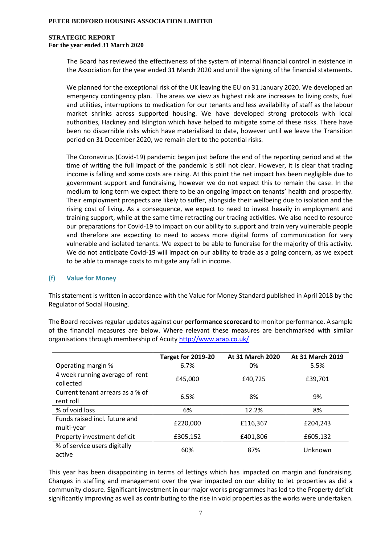## **STRATEGIC REPORT For the year ended 31 March 2020**

The Board has reviewed the effectiveness of the system of internal financial control in existence in the Association for the year ended 31 March 2020 and until the signing of the financial statements.

We planned for the exceptional risk of the UK leaving the EU on 31 January 2020. We developed an emergency contingency plan. The areas we view as highest risk are increases to living costs, fuel and utilities, interruptions to medication for our tenants and less availability of staff as the labour market shrinks across supported housing. We have developed strong protocols with local authorities, Hackney and Islington which have helped to mitigate some of these risks. There have been no discernible risks which have materialised to date, however until we leave the Transition period on 31 December 2020, we remain alert to the potential risks.

The Coronavirus (Covid-19) pandemic began just before the end of the reporting period and at the time of writing the full impact of the pandemic is still not clear. However, it is clear that trading income is falling and some costs are rising. At this point the net impact has been negligible due to government support and fundraising, however we do not expect this to remain the case. In the medium to long term we expect there to be an ongoing impact on tenants' health and prosperity. Their employment prospects are likely to suffer, alongside their wellbeing due to isolation and the rising cost of living. As a consequence, we expect to need to invest heavily in employment and training support, while at the same time retracting our trading activities. We also need to resource our preparations for Covid-19 to impact on our ability to support and train very vulnerable people and therefore are expecting to need to access more digital forms of communication for very vulnerable and isolated tenants. We expect to be able to fundraise for the majority of this activity. We do not anticipate Covid-19 will impact on our ability to trade as a going concern, as we expect to be able to manage costs to mitigate any fall in income.

## **(f) Value for Money**

This statement is written in accordance with the Value for Money Standard published in April 2018 by the Regulator of Social Housing.

The Board receives regular updates against our **performance scorecard** to monitor performance. A sample of the financial measures are below. Where relevant these measures are benchmarked with similar organisations through membership of Acuity<http://www.arap.co.uk/>

|                                               | Target for 2019-20 | At 31 March 2020 | At 31 March 2019 |
|-----------------------------------------------|--------------------|------------------|------------------|
| Operating margin %                            | 6.7%               | 0%               | 5.5%             |
| 4 week running average of rent<br>collected   | £45,000            | £40,725          | £39,701          |
| Current tenant arrears as a % of<br>rent roll | 6.5%               | 8%               | 9%               |
| % of void loss                                | 6%                 | 12.2%            | 8%               |
| Funds raised incl. future and<br>multi-year   | £220,000           | £116,367         | £204,243         |
| Property investment deficit                   | £305,152           | £401,806         | £605,132         |
| % of service users digitally<br>active        | 60%                | 87%              | Unknown          |

This year has been disappointing in terms of lettings which has impacted on margin and fundraising. Changes in staffing and management over the year impacted on our ability to let properties as did a community closure. Significant investment in our major works programmes has led to the Property deficit significantly improving as well as contributing to the rise in void properties as the works were undertaken.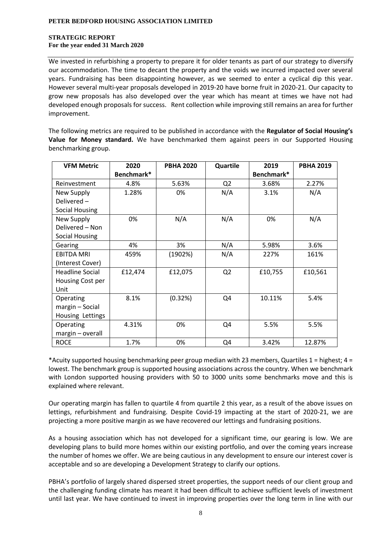## **STRATEGIC REPORT For the year ended 31 March 2020**

We invested in refurbishing a property to prepare it for older tenants as part of our strategy to diversify our accommodation. The time to decant the property and the voids we incurred impacted over several years. Fundraising has been disappointing however, as we seemed to enter a cyclical dip this year. However several multi-year proposals developed in 2019-20 have borne fruit in 2020-21. Our capacity to grow new proposals has also developed over the year which has meant at times we have not had developed enough proposals for success. Rent collection while improving still remains an area for further improvement.

The following metrics are required to be published in accordance with the **Regulator of Social Housing's Value for Money standard.** We have benchmarked them against peers in our Supported Housing benchmarking group.

| <b>VFM Metric</b>      | 2020       | <b>PBHA 2020</b> | Quartile       | 2019       | <b>PBHA 2019</b> |
|------------------------|------------|------------------|----------------|------------|------------------|
|                        | Benchmark* |                  |                | Benchmark* |                  |
| Reinvestment           | 4.8%       | 5.63%            | Q <sub>2</sub> | 3.68%      | 2.27%            |
| New Supply             | 1.28%      | 0%               | N/A            | 3.1%       | N/A              |
| Delivered-             |            |                  |                |            |                  |
| Social Housing         |            |                  |                |            |                  |
| New Supply             | 0%         | N/A              | N/A            | 0%         | N/A              |
| Delivered - Non        |            |                  |                |            |                  |
| Social Housing         |            |                  |                |            |                  |
| Gearing                | 4%         | 3%               | N/A            | 5.98%      | 3.6%             |
| <b>EBITDA MRI</b>      | 459%       | (1902%)          | N/A            | 227%       | 161%             |
| (Interest Cover)       |            |                  |                |            |                  |
| <b>Headline Social</b> | £12,474    | £12,075          | Q <sub>2</sub> | £10,755    | £10,561          |
| Housing Cost per       |            |                  |                |            |                  |
| Unit                   |            |                  |                |            |                  |
| Operating              | 8.1%       | (0.32%)          | Q4             | 10.11%     | 5.4%             |
| margin - Social        |            |                  |                |            |                  |
| Housing Lettings       |            |                  |                |            |                  |
| Operating              | 4.31%      | 0%               | Q4             | 5.5%       | 5.5%             |
| margin - overall       |            |                  |                |            |                  |
| <b>ROCE</b>            | 1.7%       | 0%               | Q4             | 3.42%      | 12.87%           |

\*Acuity supported housing benchmarking peer group median with 23 members, Quartiles 1 = highest; 4 = lowest. The benchmark group is supported housing associations across the country. When we benchmark with London supported housing providers with 50 to 3000 units some benchmarks move and this is explained where relevant.

Our operating margin has fallen to quartile 4 from quartile 2 this year, as a result of the above issues on lettings, refurbishment and fundraising. Despite Covid-19 impacting at the start of 2020-21, we are projecting a more positive margin as we have recovered our lettings and fundraising positions.

As a housing association which has not developed for a significant time, our gearing is low. We are developing plans to build more homes within our existing portfolio, and over the coming years increase the number of homes we offer. We are being cautious in any development to ensure our interest cover is acceptable and so are developing a Development Strategy to clarify our options.

PBHA's portfolio of largely shared dispersed street properties, the support needs of our client group and the challenging funding climate has meant it had been difficult to achieve sufficient levels of investment until last year. We have continued to invest in improving properties over the long term in line with our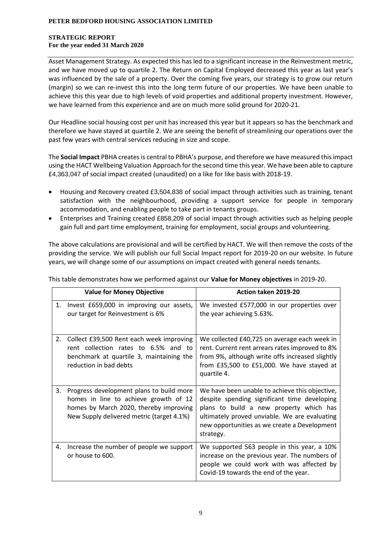## **STRATEGIC REPORT For the year ended 31 March 2020**

Asset Management Strategy. As expected this has led to a significant increase in the Reinvestment metric, and we have moved up to quartile 2. The Return on Capital Employed decreased this year as last year's was influenced by the sale of a property. Over the coming five years, our strategy is to grow our return (margin) so we can re-invest this into the long term future of our properties. We have been unable to achieve this this year due to high levels of void properties and additional property investment. However, we have learned from this experience and are on much more solid ground for 2020-21.

Our Headline social housing cost per unit has increased this year but it appears so has the benchmark and therefore we have stayed at quartile 2. We are seeing the benefit of streamlining our operations over the past few years with central services reducing in size and scope.

The **Social Impact** PBHA creates is central to PBHA's purpose, and therefore we have measured this impact using the HACT Wellbeing Valuation Approach for the second time this year. We have been able to capture £4,363,047 of social impact created (unaudited) on a like for like basis with 2018-19.

- Housing and Recovery created £3,504,838 of social impact through activities such as training, tenant satisfaction with the neighbourhood, providing a support service for people in temporary accommodation, and enabling people to take part in tenants groups.
- Enterprises and Training created £858,209 of social impact through activities such as helping people gain full and part time employment, training for employment, social groups and volunteering.

The above calculations are provisional and will be certified by HACT. We will then remove the costs of the providing the service. We will publish our full Social Impact report for 2019-20 on our website. In future years, we will change some of our assumptions on impact created with general needs tenants.

|    | <b>Value for Money Objective</b>                                                                                                                                         | Action taken 2019-20                                                                                                                                                                                                                                    |  |  |
|----|--------------------------------------------------------------------------------------------------------------------------------------------------------------------------|---------------------------------------------------------------------------------------------------------------------------------------------------------------------------------------------------------------------------------------------------------|--|--|
| 1. | Invest £659,000 in improving our assets,<br>our target for Reinvestment is 6%                                                                                            | We invested £577,000 in our properties over<br>the year achieving 5.63%.                                                                                                                                                                                |  |  |
| 2. | Collect £39,500 Rent each week improving<br>rent collection rates to 6.5% and to<br>benchmark at quartile 3, maintaining the<br>reduction in bad debts                   | We collected £40,725 on average each week in<br>rent. Current rent arrears rates improved to 8%<br>from 9%, although write offs increased slightly<br>from £35,500 to £51,000. We have stayed at<br>quartile 4.                                         |  |  |
| 3. | Progress development plans to build more<br>homes in line to achieve growth of 12<br>homes by March 2020, thereby improving<br>New Supply delivered metric (target 4.1%) | We have been unable to achieve this objective,<br>despite spending significant time developing<br>plans to build a new property which has<br>ultimately proved unviable. We are evaluating<br>new opportunities as we create a Development<br>strategy. |  |  |
| 4. | Increase the number of people we support<br>or house to 600.                                                                                                             | We supported 563 people in this year, a 10%<br>increase on the previous year. The numbers of<br>people we could work with was affected by<br>Covid-19 towards the end of the year.                                                                      |  |  |

This table demonstrates how we performed against our **Value for Money objectives** in 2019-20.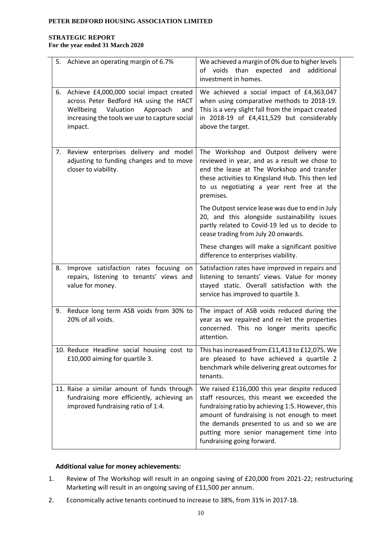## **STRATEGIC REPORT For the year ended 31 March 2020**

|    | 5. Achieve an operating margin of 6.7%                                                                                                                                                      | We achieved a margin of 0% due to higher levels<br>of voids than expected<br>and<br>additional<br>investment in homes.                                                                                                                                                                                                 |
|----|---------------------------------------------------------------------------------------------------------------------------------------------------------------------------------------------|------------------------------------------------------------------------------------------------------------------------------------------------------------------------------------------------------------------------------------------------------------------------------------------------------------------------|
| 6. | Achieve £4,000,000 social impact created<br>across Peter Bedford HA using the HACT<br>Valuation<br>Wellbeing<br>Approach<br>and<br>increasing the tools we use to capture social<br>impact. | We achieved a social impact of £4,363,047<br>when using comparative methods to 2018-19.<br>This is a very slight fall from the impact created<br>in 2018-19 of £4,411,529 but considerably<br>above the target.                                                                                                        |
| 7. | Review enterprises delivery and model<br>adjusting to funding changes and to move<br>closer to viability.                                                                                   | The Workshop and Outpost delivery were<br>reviewed in year, and as a result we chose to<br>end the lease at The Workshop and transfer<br>these activities to Kingsland Hub. This then led<br>to us negotiating a year rent free at the<br>premises.                                                                    |
|    |                                                                                                                                                                                             | The Outpost service lease was due to end in July<br>20, and this alongside sustainability issues<br>partly related to Covid-19 led us to decide to<br>cease trading from July 20 onwards.                                                                                                                              |
|    |                                                                                                                                                                                             | These changes will make a significant positive<br>difference to enterprises viability.                                                                                                                                                                                                                                 |
| 8. | Improve satisfaction rates focusing on<br>repairs, listening to tenants' views and<br>value for money.                                                                                      | Satisfaction rates have improved in repairs and<br>listening to tenants' views. Value for money<br>stayed static. Overall satisfaction with the<br>service has improved to quartile 3.                                                                                                                                 |
| 9. | Reduce long term ASB voids from 30% to<br>20% of all voids.                                                                                                                                 | The impact of ASB voids reduced during the<br>year as we repaired and re-let the properties<br>concerned. This no longer merits specific<br>attention.                                                                                                                                                                 |
|    | 10. Reduce Headline social housing cost to<br>£10,000 aiming for quartile 3.                                                                                                                | This has increased from £11,413 to £12,075. We<br>are pleased to have achieved a quartile 2<br>benchmark while delivering great outcomes for<br>tenants.                                                                                                                                                               |
|    | 11. Raise a similar amount of funds through<br>fundraising more efficiently, achieving an<br>improved fundraising ratio of 1:4.                                                             | We raised £116,000 this year despite reduced<br>staff resources, this meant we exceeded the<br>fundraising ratio by achieving 1:5. However, this<br>amount of fundraising is not enough to meet<br>the demands presented to us and so we are<br>putting more senior management time into<br>fundraising going forward. |

## **Additional value for money achievements:**

- 1. Review of The Workshop will result in an ongoing saving of £20,000 from 2021-22; restructuring Marketing will result in an ongoing saving of £11,500 per annum.
- 2. Economically active tenants continued to increase to 38%, from 31% in 2017-18.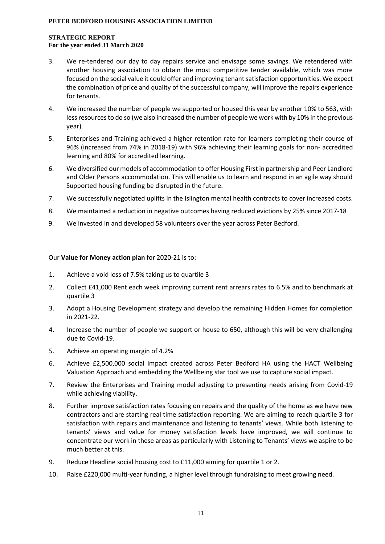## **STRATEGIC REPORT For the year ended 31 March 2020**

- 3. We re-tendered our day to day repairs service and envisage some savings. We retendered with another housing association to obtain the most competitive tender available, which was more focused on the social value it could offer and improving tenant satisfaction opportunities. We expect the combination of price and quality of the successful company, will improve the repairs experience for tenants.
- 4. We increased the number of people we supported or housed this year by another 10% to 563, with less resources to do so (we also increased the number of people we work with by 10% in the previous year).
- 5. Enterprises and Training achieved a higher retention rate for learners completing their course of 96% (increased from 74% in 2018-19) with 96% achieving their learning goals for non- accredited learning and 80% for accredited learning.
- 6. We diversified our models of accommodation to offer Housing First in partnership and Peer Landlord and Older Persons accommodation. This will enable us to learn and respond in an agile way should Supported housing funding be disrupted in the future.
- 7. We successfully negotiated uplifts in the Islington mental health contracts to cover increased costs.
- 8. We maintained a reduction in negative outcomes having reduced evictions by 25% since 2017-18
- 9. We invested in and developed 58 volunteers over the year across Peter Bedford.

# Our **Value for Money action plan** for 2020-21 is to:

- 1. Achieve a void loss of 7.5% taking us to quartile 3
- 2. Collect £41,000 Rent each week improving current rent arrears rates to 6.5% and to benchmark at quartile 3
- 3. Adopt a Housing Development strategy and develop the remaining Hidden Homes for completion in 2021-22.
- 4. Increase the number of people we support or house to 650, although this will be very challenging due to Covid-19.
- 5. Achieve an operating margin of 4.2%
- 6. Achieve £2,500,000 social impact created across Peter Bedford HA using the HACT Wellbeing Valuation Approach and embedding the Wellbeing star tool we use to capture social impact.
- 7. Review the Enterprises and Training model adjusting to presenting needs arising from Covid-19 while achieving viability.
- 8. Further improve satisfaction rates focusing on repairs and the quality of the home as we have new contractors and are starting real time satisfaction reporting. We are aiming to reach quartile 3 for satisfaction with repairs and maintenance and listening to tenants' views. While both listening to tenants' views and value for money satisfaction levels have improved, we will continue to concentrate our work in these areas as particularly with Listening to Tenants' views we aspire to be much better at this.
- 9. Reduce Headline social housing cost to £11,000 aiming for quartile 1 or 2.
- 10. Raise £220,000 multi-year funding, a higher level through fundraising to meet growing need.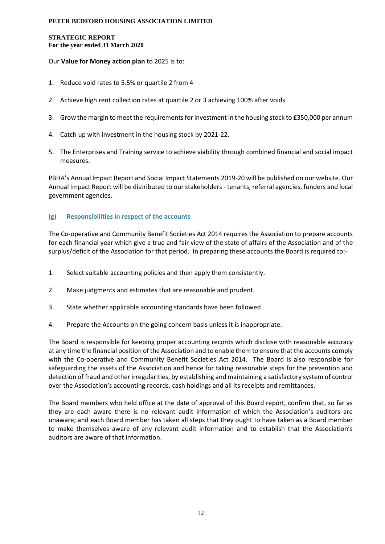### **STRATEGIC REPORT For the year ended 31 March 2020**

Our **Value for Money action plan** to 2025 is to:

- 1. Reduce void rates to 5.5% or quartile 2 from 4
- 2. Achieve high rent collection rates at quartile 2 or 3 achieving 100% after voids
- 3. Grow the margin to meet the requirements for investment in the housing stock to £350,000 per annum
- 4. Catch up with investment in the housing stock by 2021-22.
- 5. The Enterprises and Training service to achieve viability through combined financial and social impact measures.

PBHA's Annual Impact Report and Social Impact Statements 2019-20 will be published on our website. Our Annual Impact Report will be distributed to our stakeholders - tenants, referral agencies, funders and local government agencies.

# **(g) Responsibilities in respect of the accounts**

The Co-operative and Community Benefit Societies Act 2014 requires the Association to prepare accounts for each financial year which give a true and fair view of the state of affairs of the Association and of the surplus/deficit of the Association for that period. In preparing these accounts the Board is required to:-

- 1. Select suitable accounting policies and then apply them consistently.
- 2. Make judgments and estimates that are reasonable and prudent.
- 3. State whether applicable accounting standards have been followed.
- 4. Prepare the Accounts on the going concern basis unless it is inappropriate.

The Board is responsible for keeping proper accounting records which disclose with reasonable accuracy at any time the financial position of the Association and to enable them to ensure that the accounts comply with the Co-operative and Community Benefit Societies Act 2014. The Board is also responsible for safeguarding the assets of the Association and hence for taking reasonable steps for the prevention and detection of fraud and other irregularities, by establishing and maintaining a satisfactory system of control over the Association's accounting records, cash holdings and all its receipts and remittances.

The Board members who held office at the date of approval of this Board report, confirm that, so far as they are each aware there is no relevant audit information of which the Association's auditors are unaware; and each Board member has taken all steps that they ought to have taken as a Board member to make themselves aware of any relevant audit information and to establish that the Association's auditors are aware of that information.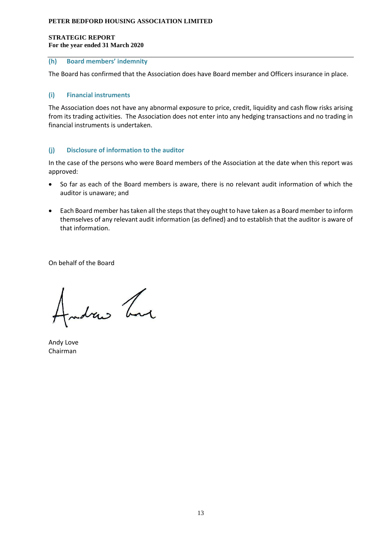#### **STRATEGIC REPORT For the year ended 31 March 2020**

## **(h) Board members' indemnity**

The Board has confirmed that the Association does have Board member and Officers insurance in place.

## **(i) Financial instruments**

The Association does not have any abnormal exposure to price, credit, liquidity and cash flow risks arising from its trading activities. The Association does not enter into any hedging transactions and no trading in financial instruments is undertaken.

## **(j) Disclosure of information to the auditor**

In the case of the persons who were Board members of the Association at the date when this report was approved:

- So far as each of the Board members is aware, there is no relevant audit information of which the auditor is unaware; and
- Each Board member has taken all the steps that they ought to have taken as a Board member to inform themselves of any relevant audit information (as defined) and to establish that the auditor is aware of that information.

On behalf of the Board

modres bar

Andy Love Chairman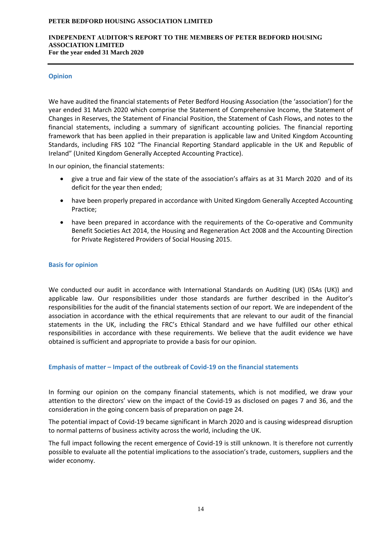### **INDEPENDENT AUDITOR'S REPORT TO THE MEMBERS OF PETER BEDFORD HOUSING ASSOCIATION LIMITED For the year ended 31 March 2020**

#### **Opinion**

We have audited the financial statements of Peter Bedford Housing Association (the 'association') for the year ended 31 March 2020 which comprise the Statement of Comprehensive Income, the Statement of Changes in Reserves, the Statement of Financial Position, the Statement of Cash Flows, and notes to the financial statements, including a summary of significant accounting policies. The financial reporting framework that has been applied in their preparation is applicable law and United Kingdom Accounting Standards, including FRS 102 "The Financial Reporting Standard applicable in the UK and Republic of Ireland" (United Kingdom Generally Accepted Accounting Practice).

In our opinion, the financial statements:

- give a true and fair view of the state of the association's affairs as at 31 March 2020 and of its deficit for the year then ended;
- have been properly prepared in accordance with United Kingdom Generally Accepted Accounting Practice;
- have been prepared in accordance with the requirements of the Co-operative and Community Benefit Societies Act 2014, the Housing and Regeneration Act 2008 and the Accounting Direction for Private Registered Providers of Social Housing 2015.

#### **Basis for opinion**

We conducted our audit in accordance with International Standards on Auditing (UK) (ISAs (UK)) and applicable law. Our responsibilities under those standards are further described in the Auditor's responsibilities for the audit of the financial statements section of our report. We are independent of the association in accordance with the ethical requirements that are relevant to our audit of the financial statements in the UK, including the FRC's Ethical Standard and we have fulfilled our other ethical responsibilities in accordance with these requirements. We believe that the audit evidence we have obtained is sufficient and appropriate to provide a basis for our opinion.

#### **Emphasis of matter – Impact of the outbreak of Covid-19 on the financial statements**

In forming our opinion on the company financial statements, which is not modified, we draw your attention to the directors' view on the impact of the Covid-19 as disclosed on pages 7 and 36, and the consideration in the going concern basis of preparation on page 24.

The potential impact of Covid-19 became significant in March 2020 and is causing widespread disruption to normal patterns of business activity across the world, including the UK.

The full impact following the recent emergence of Covid-19 is still unknown. It is therefore not currently possible to evaluate all the potential implications to the association's trade, customers, suppliers and the wider economy.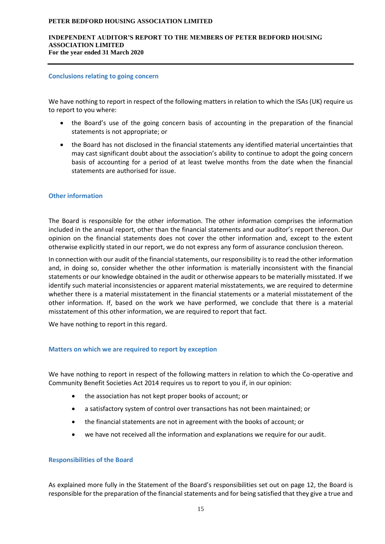### **INDEPENDENT AUDITOR'S REPORT TO THE MEMBERS OF PETER BEDFORD HOUSING ASSOCIATION LIMITED For the year ended 31 March 2020**

#### **Conclusions relating to going concern**

We have nothing to report in respect of the following matters in relation to which the ISAs (UK) require us to report to you where:

- the Board's use of the going concern basis of accounting in the preparation of the financial statements is not appropriate; or
- the Board has not disclosed in the financial statements any identified material uncertainties that may cast significant doubt about the association's ability to continue to adopt the going concern basis of accounting for a period of at least twelve months from the date when the financial statements are authorised for issue.

#### **Other information**

The Board is responsible for the other information. The other information comprises the information included in the annual report, other than the financial statements and our auditor's report thereon. Our opinion on the financial statements does not cover the other information and, except to the extent otherwise explicitly stated in our report, we do not express any form of assurance conclusion thereon.

In connection with our audit of the financial statements, our responsibility is to read the other information and, in doing so, consider whether the other information is materially inconsistent with the financial statements or our knowledge obtained in the audit or otherwise appears to be materially misstated. If we identify such material inconsistencies or apparent material misstatements, we are required to determine whether there is a material misstatement in the financial statements or a material misstatement of the other information. If, based on the work we have performed, we conclude that there is a material misstatement of this other information, we are required to report that fact.

We have nothing to report in this regard.

#### **Matters on which we are required to report by exception**

We have nothing to report in respect of the following matters in relation to which the Co-operative and Community Benefit Societies Act 2014 requires us to report to you if, in our opinion:

- the association has not kept proper books of account; or
- a satisfactory system of control over transactions has not been maintained; or
- the financial statements are not in agreement with the books of account; or
- we have not received all the information and explanations we require for our audit.

#### **Responsibilities of the Board**

As explained more fully in the Statement of the Board's responsibilities set out on page 12, the Board is responsible for the preparation of the financial statements and for being satisfied that they give a true and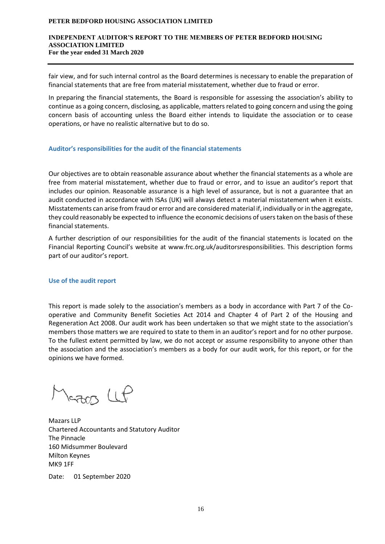### **INDEPENDENT AUDITOR'S REPORT TO THE MEMBERS OF PETER BEDFORD HOUSING ASSOCIATION LIMITED For the year ended 31 March 2020**

fair view, and for such internal control as the Board determines is necessary to enable the preparation of financial statements that are free from material misstatement, whether due to fraud or error.

In preparing the financial statements, the Board is responsible for assessing the association's ability to continue as a going concern, disclosing, as applicable, matters related to going concern and using the going concern basis of accounting unless the Board either intends to liquidate the association or to cease operations, or have no realistic alternative but to do so.

#### **Auditor's responsibilities for the audit of the financial statements**

Our objectives are to obtain reasonable assurance about whether the financial statements as a whole are free from material misstatement, whether due to fraud or error, and to issue an auditor's report that includes our opinion. Reasonable assurance is a high level of assurance, but is not a guarantee that an audit conducted in accordance with ISAs (UK) will always detect a material misstatement when it exists. Misstatements can arise from fraud or error and are considered material if, individually or in the aggregate, they could reasonably be expected to influence the economic decisions of users taken on the basis of these financial statements.

A further description of our responsibilities for the audit of the financial statements is located on the Financial Reporting Council's website at www.frc.org.uk/auditorsresponsibilities. This description forms part of our auditor's report.

#### **Use of the audit report**

This report is made solely to the association's members as a body in accordance with Part 7 of the Cooperative and Community Benefit Societies Act 2014 and Chapter 4 of Part 2 of the Housing and Regeneration Act 2008. Our audit work has been undertaken so that we might state to the association's members those matters we are required to state to them in an auditor's report and for no other purpose. To the fullest extent permitted by law, we do not accept or assume responsibility to anyone other than the association and the association's members as a body for our audit work, for this report, or for the opinions we have formed.

lazoos Lif

Mazars LLP Chartered Accountants and Statutory Auditor The Pinnacle 160 Midsummer Boulevard Milton Keynes MK9 1FF

Date: 01 September 2020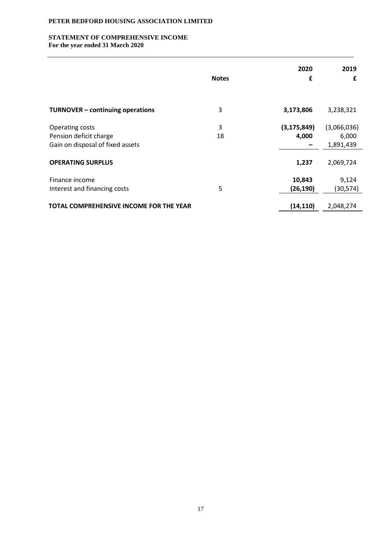### **STATEMENT OF COMPREHENSIVE INCOME For the year ended 31 March 2020**

|                                                                               | <b>Notes</b> | 2020<br>£              | 2019<br>£                         |
|-------------------------------------------------------------------------------|--------------|------------------------|-----------------------------------|
| <b>TURNOVER - continuing operations</b>                                       | 3            | 3,173,806              | 3,238,321                         |
| Operating costs<br>Pension deficit charge<br>Gain on disposal of fixed assets | 3<br>18      | (3, 175, 849)<br>4,000 | (3,066,036)<br>6,000<br>1,891,439 |
| <b>OPERATING SURPLUS</b>                                                      |              | 1,237                  | 2,069,724                         |
| Finance income<br>Interest and financing costs                                | 5            | 10,843<br>(26, 190)    | 9,124<br>(30, 574)                |
| TOTAL COMPREHENSIVE INCOME FOR THE YEAR                                       |              | (14, 110)              | 2,048,274                         |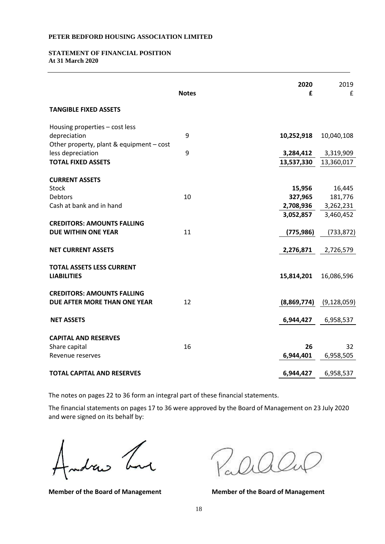## **STATEMENT OF FINANCIAL POSITION At 31 March 2020**

|                                                               | <b>Notes</b> | 2020<br>£   | 2019<br>£                          |
|---------------------------------------------------------------|--------------|-------------|------------------------------------|
| <b>TANGIBLE FIXED ASSETS</b>                                  |              |             |                                    |
| Housing properties - cost less                                |              |             |                                    |
| depreciation                                                  | 9            | 10,252,918  | 10,040,108                         |
| Other property, plant & equipment - cost<br>less depreciation | 9            | 3,284,412   |                                    |
| <b>TOTAL FIXED ASSETS</b>                                     |              |             | 3,319,909<br>13,537,330 13,360,017 |
|                                                               |              |             |                                    |
| <b>CURRENT ASSETS</b>                                         |              |             |                                    |
| Stock                                                         |              | 15,956      | 16,445                             |
| Debtors                                                       | 10           | 327,965     | 181,776                            |
| Cash at bank and in hand                                      |              | 2,708,936   | 3,262,231                          |
|                                                               |              | 3,052,857   | 3,460,452                          |
| <b>CREDITORS: AMOUNTS FALLING</b>                             |              |             |                                    |
| <b>DUE WITHIN ONE YEAR</b>                                    | 11           | (775, 986)  | (733, 872)                         |
| <b>NET CURRENT ASSETS</b>                                     |              | 2,276,871   | 2,726,579                          |
|                                                               |              |             |                                    |
| <b>TOTAL ASSETS LESS CURRENT</b>                              |              |             |                                    |
| <b>LIABILITIES</b>                                            |              | 15,814,201  | 16,086,596                         |
|                                                               |              |             |                                    |
| <b>CREDITORS: AMOUNTS FALLING</b>                             |              |             |                                    |
| DUE AFTER MORE THAN ONE YEAR                                  | 12           | (8,869,774) | (9, 128, 059)                      |
| <b>NET ASSETS</b>                                             |              | 6,944,427   | 6,958,537                          |
|                                                               |              |             |                                    |
| <b>CAPITAL AND RESERVES</b>                                   |              |             |                                    |
| Share capital                                                 | 16           | 26          | 32                                 |
| Revenue reserves                                              |              | 6,944,401   | 6,958,505                          |
|                                                               |              |             |                                    |
| <b>TOTAL CAPITAL AND RESERVES</b>                             |              | 6,944,427   | 6,958,537                          |

The notes on pages 22 to 36 form an integral part of these financial statements.

The financial statements on pages 17 to 36 were approved by the Board of Management on 23 July 2020 and were signed on its behalf by:

motres h

**Member of the Board of Management Member of the Board of Management**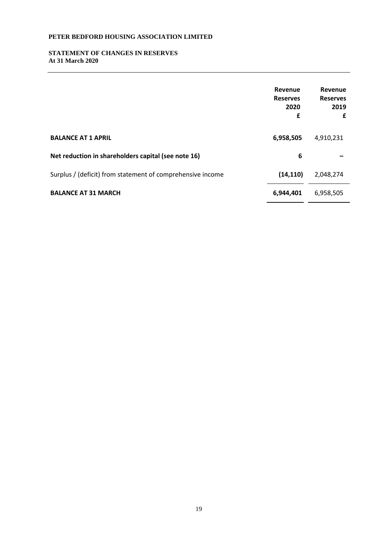### **STATEMENT OF CHANGES IN RESERVES At 31 March 2020**

|                                                            | Revenue<br><b>Reserves</b><br>2020<br>£ | Revenue<br><b>Reserves</b><br>2019<br>£ |
|------------------------------------------------------------|-----------------------------------------|-----------------------------------------|
| <b>BALANCE AT 1 APRIL</b>                                  | 6,958,505                               | 4,910,231                               |
| Net reduction in shareholders capital (see note 16)        | 6                                       |                                         |
| Surplus / (deficit) from statement of comprehensive income | (14, 110)                               | 2,048,274                               |
| <b>BALANCE AT 31 MARCH</b>                                 | 6,944,401                               | 6,958,505                               |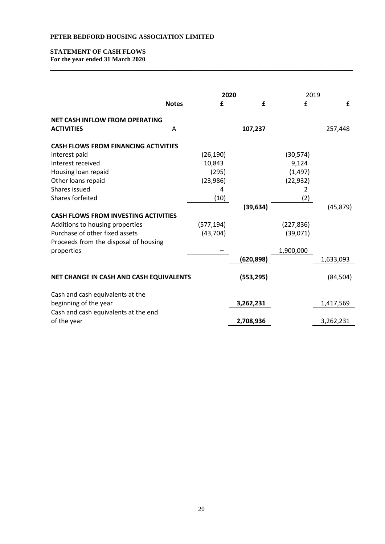# **STATEMENT OF CASH FLOWS For the year ended 31 March 2020**

|                                                     |              | 2020       |            | 2019       |           |
|-----------------------------------------------------|--------------|------------|------------|------------|-----------|
|                                                     | <b>Notes</b> | £          | £          | f          | £         |
| <b>NET CASH INFLOW FROM OPERATING</b>               |              |            |            |            |           |
| <b>ACTIVITIES</b>                                   | A            |            | 107,237    |            | 257,448   |
| <b>CASH FLOWS FROM FINANCING ACTIVITIES</b>         |              |            |            |            |           |
| Interest paid                                       |              | (26, 190)  |            | (30, 574)  |           |
| Interest received                                   |              | 10,843     |            | 9,124      |           |
| Housing loan repaid                                 |              | (295)      |            | (1, 497)   |           |
| Other loans repaid                                  |              | (23, 986)  |            | (22, 932)  |           |
| Shares issued                                       |              | 4          |            | 2          |           |
| Shares forfeited                                    |              | (10)       |            | (2)        |           |
|                                                     |              |            | (39, 634)  |            | (45, 879) |
| <b>CASH FLOWS FROM INVESTING ACTIVITIES</b>         |              |            |            |            |           |
| Additions to housing properties                     |              | (577, 194) |            | (227, 836) |           |
| Purchase of other fixed assets                      |              | (43, 704)  |            | (39,071)   |           |
| Proceeds from the disposal of housing               |              |            |            |            |           |
| properties                                          |              |            |            | 1,900,000  |           |
|                                                     |              |            | (620, 898) |            | 1,633,093 |
| NET CHANGE IN CASH AND CASH EQUIVALENTS             |              |            | (553, 295) |            | (84, 504) |
| Cash and cash equivalents at the                    |              |            |            |            |           |
| beginning of the year                               |              |            | 3,262,231  |            | 1,417,569 |
| Cash and cash equivalents at the end<br>of the year |              |            | 2,708,936  |            | 3,262,231 |
|                                                     |              |            |            |            |           |

**\_\_\_\_\_\_\_\_\_\_\_\_\_\_\_\_\_\_\_\_\_\_\_\_\_\_\_\_\_\_\_\_\_\_\_\_\_\_\_\_\_\_\_\_\_\_\_\_\_\_\_\_\_\_\_\_\_\_\_\_\_\_\_\_\_\_\_\_\_\_\_\_\_\_\_\_\_\_**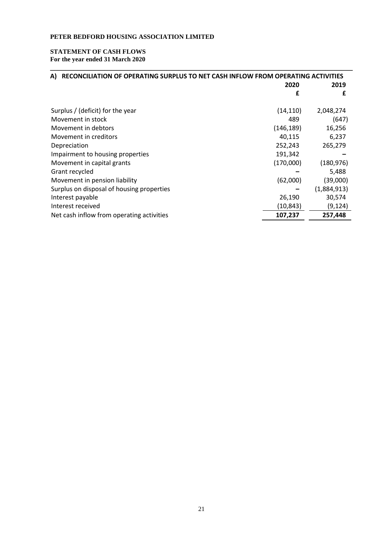# **STATEMENT OF CASH FLOWS For the year ended 31 March 2020**

| RECONCILIATION OF OPERATING SURPLUS TO NET CASH INFLOW FROM OPERATING ACTIVITIES<br>A) |           |             |  |  |
|----------------------------------------------------------------------------------------|-----------|-------------|--|--|
|                                                                                        | 2020      | 2019        |  |  |
|                                                                                        | £         | £           |  |  |
| Surplus / (deficit) for the year                                                       | (14, 110) | 2,048,274   |  |  |
| Movement in stock                                                                      | 489       | (647)       |  |  |
| Movement in debtors                                                                    | (146,189) | 16,256      |  |  |
| Movement in creditors                                                                  | 40,115    | 6,237       |  |  |
| Depreciation                                                                           | 252,243   | 265,279     |  |  |
| Impairment to housing properties                                                       | 191,342   |             |  |  |
| Movement in capital grants                                                             | (170,000) | (180, 976)  |  |  |
| Grant recycled                                                                         |           | 5,488       |  |  |
| Movement in pension liability                                                          | (62,000)  | (39,000)    |  |  |
| Surplus on disposal of housing properties                                              |           | (1,884,913) |  |  |
| Interest payable                                                                       | 26,190    | 30,574      |  |  |
| Interest received                                                                      | (10, 843) | (9, 124)    |  |  |
| Net cash inflow from operating activities                                              | 107,237   | 257,448     |  |  |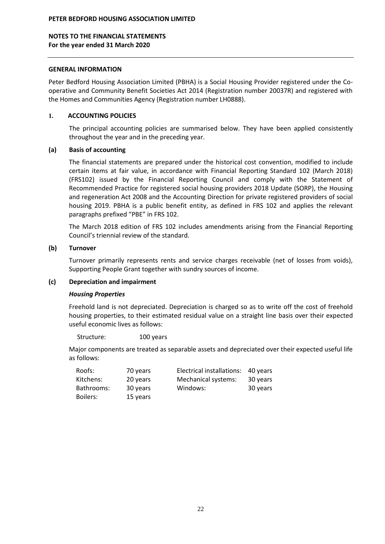### **GENERAL INFORMATION**

Peter Bedford Housing Association Limited (PBHA) is a Social Housing Provider registered under the Cooperative and Community Benefit Societies Act 2014 (Registration number 20037R) and registered with the Homes and Communities Agency (Registration number LH0888).

## **1. ACCOUNTING POLICIES**

The principal accounting policies are summarised below. They have been applied consistently throughout the year and in the preceding year.

### **(a) Basis of accounting**

The financial statements are prepared under the historical cost convention, modified to include certain items at fair value, in accordance with Financial Reporting Standard 102 (March 2018) (FRS102) issued by the Financial Reporting Council and comply with the Statement of Recommended Practice for registered social housing providers 2018 Update (SORP), the Housing and regeneration Act 2008 and the Accounting Direction for private registered providers of social housing 2019. PBHA is a public benefit entity, as defined in FRS 102 and applies the relevant paragraphs prefixed "PBE" in FRS 102.

The March 2018 edition of FRS 102 includes amendments arising from the Financial Reporting Council's triennial review of the standard.

### **(b) Turnover**

Turnover primarily represents rents and service charges receivable (net of losses from voids), Supporting People Grant together with sundry sources of income.

## **(c) Depreciation and impairment**

## *Housing Properties*

Freehold land is not depreciated. Depreciation is charged so as to write off the cost of freehold housing properties, to their estimated residual value on a straight line basis over their expected useful economic lives as follows:

Structure: 100 years

Major components are treated as separable assets and depreciated over their expected useful life as follows:

| Roofs:     | 70 years | Electrical installations: | 40 years |
|------------|----------|---------------------------|----------|
| Kitchens:  | 20 years | Mechanical systems:       | 30 years |
| Bathrooms: | 30 years | Windows:                  | 30 years |
| Boilers:   | 15 years |                           |          |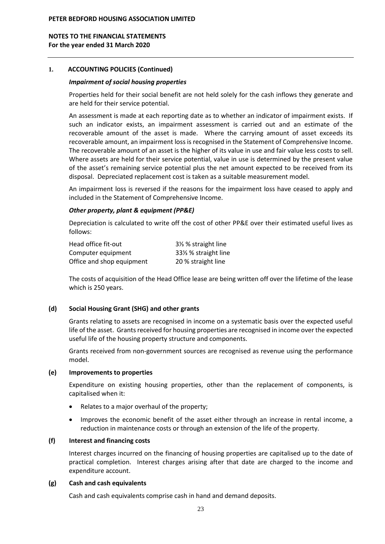#### **1. ACCOUNTING POLICIES (Continued)**

### *Impairment of social housing properties*

Properties held for their social benefit are not held solely for the cash inflows they generate and are held for their service potential.

An assessment is made at each reporting date as to whether an indicator of impairment exists. If such an indicator exists, an impairment assessment is carried out and an estimate of the recoverable amount of the asset is made. Where the carrying amount of asset exceeds its recoverable amount, an impairment loss is recognised in the Statement of Comprehensive Income. The recoverable amount of an asset is the higher of its value in use and fair value less costs to sell. Where assets are held for their service potential, value in use is determined by the present value of the asset's remaining service potential plus the net amount expected to be received from its disposal. Depreciated replacement cost is taken as a suitable measurement model.

An impairment loss is reversed if the reasons for the impairment loss have ceased to apply and included in the Statement of Comprehensive Income.

### *Other property, plant & equipment (PP&E)*

Depreciation is calculated to write off the cost of other PP&E over their estimated useful lives as follows:

| Head office fit-out       | 31/ <sub>3</sub> % straight line |
|---------------------------|----------------------------------|
| Computer equipment        | 33% % straight line              |
| Office and shop equipment | 20 % straight line               |

The costs of acquisition of the Head Office lease are being written off over the lifetime of the lease which is 250 years.

## **(d) Social Housing Grant (SHG) and other grants**

Grants relating to assets are recognised in income on a systematic basis over the expected useful life of the asset. Grants received for housing properties are recognised in income over the expected useful life of the housing property structure and components.

Grants received from non-government sources are recognised as revenue using the performance model.

### **(e) Improvements to properties**

Expenditure on existing housing properties, other than the replacement of components, is capitalised when it:

- Relates to a major overhaul of the property;
- Improves the economic benefit of the asset either through an increase in rental income, a reduction in maintenance costs or through an extension of the life of the property.

### **(f) Interest and financing costs**

Interest charges incurred on the financing of housing properties are capitalised up to the date of practical completion. Interest charges arising after that date are charged to the income and expenditure account.

#### **(g) Cash and cash equivalents**

Cash and cash equivalents comprise cash in hand and demand deposits.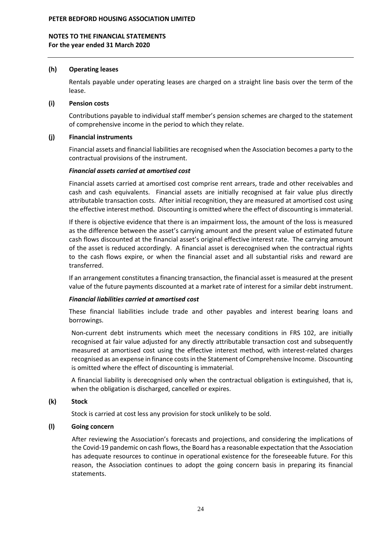## **(h) Operating leases**

Rentals payable under operating leases are charged on a straight line basis over the term of the lease.

### **(i) Pension costs**

Contributions payable to individual staff member's pension schemes are charged to the statement of comprehensive income in the period to which they relate.

### **(j) Financial instruments**

Financial assets and financial liabilities are recognised when the Association becomes a party to the contractual provisions of the instrument.

### *Financial assets carried at amortised cost*

Financial assets carried at amortised cost comprise rent arrears, trade and other receivables and cash and cash equivalents. Financial assets are initially recognised at fair value plus directly attributable transaction costs. After initial recognition, they are measured at amortised cost using the effective interest method. Discounting is omitted where the effect of discounting is immaterial.

If there is objective evidence that there is an impairment loss, the amount of the loss is measured as the difference between the asset's carrying amount and the present value of estimated future cash flows discounted at the financial asset's original effective interest rate. The carrying amount of the asset is reduced accordingly. A financial asset is derecognised when the contractual rights to the cash flows expire, or when the financial asset and all substantial risks and reward are transferred.

If an arrangement constitutes a financing transaction, the financial asset is measured at the present value of the future payments discounted at a market rate of interest for a similar debt instrument.

## *Financial liabilities carried at amortised cost*

These financial liabilities include trade and other payables and interest bearing loans and borrowings.

Non-current debt instruments which meet the necessary conditions in FRS 102, are initially recognised at fair value adjusted for any directly attributable transaction cost and subsequently measured at amortised cost using the effective interest method, with interest-related charges recognised as an expense in finance costs in the Statement of Comprehensive Income. Discounting is omitted where the effect of discounting is immaterial.

A financial liability is derecognised only when the contractual obligation is extinguished, that is, when the obligation is discharged, cancelled or expires.

## **(k) Stock**

Stock is carried at cost less any provision for stock unlikely to be sold.

## **(l) Going concern**

After reviewing the Association's forecasts and projections, and considering the implications of the Covid-19 pandemic on cash flows, the Board has a reasonable expectation that the Association has adequate resources to continue in operational existence for the foreseeable future. For this reason, the Association continues to adopt the going concern basis in preparing its financial statements.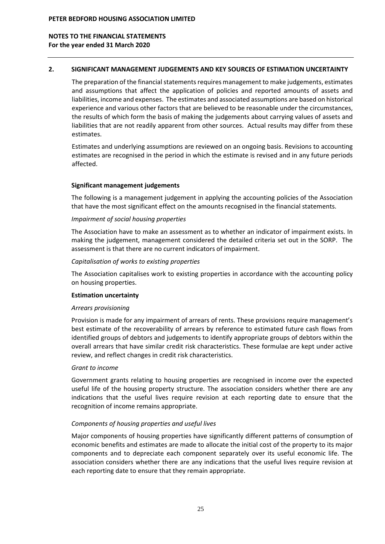### **2. SIGNIFICANT MANAGEMENT JUDGEMENTS AND KEY SOURCES OF ESTIMATION UNCERTAINTY**

The preparation of the financial statements requires management to make judgements, estimates and assumptions that affect the application of policies and reported amounts of assets and liabilities, income and expenses. The estimates and associated assumptions are based on historical experience and various other factors that are believed to be reasonable under the circumstances, the results of which form the basis of making the judgements about carrying values of assets and liabilities that are not readily apparent from other sources. Actual results may differ from these estimates.

Estimates and underlying assumptions are reviewed on an ongoing basis. Revisions to accounting estimates are recognised in the period in which the estimate is revised and in any future periods affected.

## **Significant management judgements**

The following is a management judgement in applying the accounting policies of the Association that have the most significant effect on the amounts recognised in the financial statements.

### *Impairment of social housing properties*

The Association have to make an assessment as to whether an indicator of impairment exists. In making the judgement, management considered the detailed criteria set out in the SORP. The assessment is that there are no current indicators of impairment.

### *Capitalisation of works to existing properties*

The Association capitalises work to existing properties in accordance with the accounting policy on housing properties.

#### **Estimation uncertainty**

#### *Arrears provisioning*

Provision is made for any impairment of arrears of rents. These provisions require management's best estimate of the recoverability of arrears by reference to estimated future cash flows from identified groups of debtors and judgements to identify appropriate groups of debtors within the overall arrears that have similar credit risk characteristics. These formulae are kept under active review, and reflect changes in credit risk characteristics.

#### *Grant to income*

Government grants relating to housing properties are recognised in income over the expected useful life of the housing property structure. The association considers whether there are any indications that the useful lives require revision at each reporting date to ensure that the recognition of income remains appropriate.

## *Components of housing properties and useful lives*

Major components of housing properties have significantly different patterns of consumption of economic benefits and estimates are made to allocate the initial cost of the property to its major components and to depreciate each component separately over its useful economic life. The association considers whether there are any indications that the useful lives require revision at each reporting date to ensure that they remain appropriate.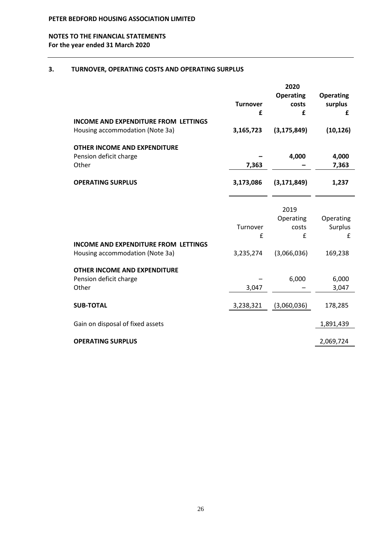# **3. TURNOVER, OPERATING COSTS AND OPERATING SURPLUS**

|                                             |                 | 2020             |                  |
|---------------------------------------------|-----------------|------------------|------------------|
|                                             |                 | <b>Operating</b> | <b>Operating</b> |
|                                             | <b>Turnover</b> | costs            | surplus          |
|                                             | £               | £                | £                |
| <b>INCOME AND EXPENDITURE FROM LETTINGS</b> |                 |                  |                  |
| Housing accommodation (Note 3a)             | 3,165,723       | (3, 175, 849)    | (10, 126)        |
| <b>OTHER INCOME AND EXPENDITURE</b>         |                 |                  |                  |
| Pension deficit charge                      |                 | 4,000            | 4,000            |
| Other                                       | 7,363           |                  | 7,363            |
| <b>OPERATING SURPLUS</b>                    | 3,173,086       | (3, 171, 849)    | 1,237            |
|                                             |                 |                  |                  |
|                                             |                 | 2019             |                  |
|                                             |                 | Operating        | Operating        |
|                                             | Turnover        | costs            | Surplus          |
|                                             | £               | £                | £                |
| <b>INCOME AND EXPENDITURE FROM LETTINGS</b> |                 |                  |                  |
| Housing accommodation (Note 3a)             | 3,235,274       | (3,066,036)      | 169,238          |
| <b>OTHER INCOME AND EXPENDITURE</b>         |                 |                  |                  |
| Pension deficit charge                      |                 | 6,000            | 6,000            |
| Other                                       | 3,047           |                  | 3,047            |
|                                             |                 |                  |                  |
| <b>SUB-TOTAL</b>                            | 3,238,321       | (3,060,036)      | 178,285          |
| Gain on disposal of fixed assets            |                 |                  | 1,891,439        |
|                                             |                 |                  |                  |
| <b>OPERATING SURPLUS</b>                    |                 |                  | 2,069,724        |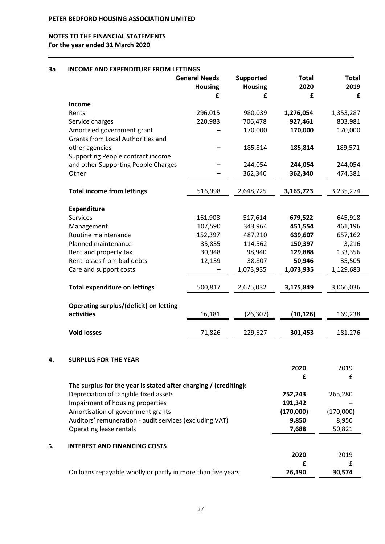# **NOTES TO THE FINANCIAL STATEMENTS For the year ended 31 March 2020**

| 3a | <b>INCOME AND EXPENDITURE FROM LETTINGS</b>   |                                        |                             |                      |                      |
|----|-----------------------------------------------|----------------------------------------|-----------------------------|----------------------|----------------------|
|    |                                               | <b>General Needs</b><br><b>Housing</b> | Supported<br><b>Housing</b> | <b>Total</b><br>2020 | <b>Total</b><br>2019 |
|    |                                               | £                                      | £                           | £                    | £                    |
|    | Income                                        |                                        |                             |                      |                      |
|    | Rents                                         | 296,015                                | 980,039                     | 1,276,054            | 1,353,287            |
|    | Service charges                               | 220,983                                | 706,478                     | 927,461              | 803,981              |
|    | Amortised government grant                    |                                        | 170,000                     | 170,000              | 170,000              |
|    | <b>Grants from Local Authorities and</b>      |                                        |                             |                      |                      |
|    | other agencies                                |                                        | 185,814                     | 185,814              | 189,571              |
|    | Supporting People contract income             |                                        |                             |                      |                      |
|    | and other Supporting People Charges           |                                        | 244,054                     | 244,054              | 244,054              |
|    | Other                                         |                                        | 362,340                     | 362,340              | 474,381              |
|    |                                               |                                        |                             |                      |                      |
|    | <b>Total income from lettings</b>             | 516,998                                | 2,648,725                   | 3,165,723            | 3,235,274            |
|    | <b>Expenditure</b>                            |                                        |                             |                      |                      |
|    | <b>Services</b>                               | 161,908                                | 517,614                     | 679,522              | 645,918              |
|    | Management                                    | 107,590                                | 343,964                     | 451,554              | 461,196              |
|    | Routine maintenance                           | 152,397                                | 487,210                     | 639,607              | 657,162              |
|    | Planned maintenance                           | 35,835                                 | 114,562                     | 150,397              | 3,216                |
|    | Rent and property tax                         | 30,948                                 | 98,940                      | 129,888              | 133,356              |
|    | Rent losses from bad debts                    | 12,139                                 | 38,807                      | 50,946               | 35,505               |
|    | Care and support costs                        |                                        | 1,073,935                   | 1,073,935            | 1,129,683            |
|    | <b>Total expenditure on lettings</b>          | 500,817                                | 2,675,032                   | 3,175,849            | 3,066,036            |
|    | <b>Operating surplus/(deficit) on letting</b> |                                        |                             |                      |                      |
|    | activities                                    | 16,181                                 | (26, 307)                   | (10, 126)            | 169,238              |
|    | <b>Void losses</b>                            | 71,826                                 | 229,627                     | 301,453              | 181,276              |

## **4. SURPLUS FOR THE YEAR**

|    |                                                                  | 2020      | 2019      |
|----|------------------------------------------------------------------|-----------|-----------|
|    |                                                                  | £         | £         |
|    | The surplus for the year is stated after charging / (crediting): |           |           |
|    | Depreciation of tangible fixed assets                            | 252,243   | 265,280   |
|    | Impairment of housing properties                                 | 191,342   |           |
|    | Amortisation of government grants                                | (170,000) | (170,000) |
|    | Auditors' remuneration - audit services (excluding VAT)          | 9,850     | 8,950     |
|    | Operating lease rentals                                          | 7,688     | 50,821    |
| 5. | <b>INTEREST AND FINANCING COSTS</b>                              |           |           |
|    |                                                                  | 2020      | 2019      |
|    |                                                                  | £         |           |
|    | On loans repayable wholly or partly in more than five years      | 26,190    | 30,574    |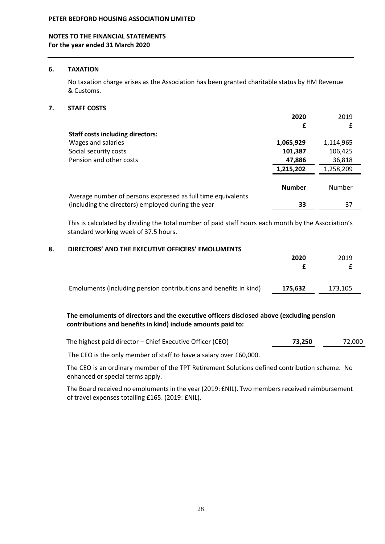## **6. TAXATION**

No taxation charge arises as the Association has been granted charitable status by HM Revenue & Customs.

## **7. STAFF COSTS**

|                                                              | 2020          | 2019      |
|--------------------------------------------------------------|---------------|-----------|
|                                                              | £             | £         |
| <b>Staff costs including directors:</b>                      |               |           |
| Wages and salaries                                           | 1,065,929     | 1,114,965 |
| Social security costs                                        | 101,387       | 106,425   |
| Pension and other costs                                      | 47,886        | 36,818    |
|                                                              | 1,215,202     | 1,258,209 |
|                                                              |               |           |
|                                                              | <b>Number</b> | Number    |
| Average number of persons expressed as full time equivalents |               |           |
| (including the directors) employed during the year           | 33            | 37        |

This is calculated by dividing the total number of paid staff hours each month by the Association's standard working week of 37.5 hours.

## **8. DIRECTORS' AND THE EXECUTIVE OFFICERS' EMOLUMENTS**

| 2020    | 2019    |
|---------|---------|
|         | £       |
|         |         |
| 175,632 | 173,105 |
|         |         |

# **The emoluments of directors and the executive officers disclosed above (excluding pension contributions and benefits in kind) include amounts paid to:**

| The highest paid director - Chief Executive Officer (CEO) | 73,250 | 72,000 |
|-----------------------------------------------------------|--------|--------|
|-----------------------------------------------------------|--------|--------|

The CEO is the only member of staff to have a salary over £60,000.

The CEO is an ordinary member of the TPT Retirement Solutions defined contribution scheme. No enhanced or special terms apply.

The Board received no emoluments in the year (2019: £NIL). Two members received reimbursement of travel expenses totalling £165. (2019: £NIL).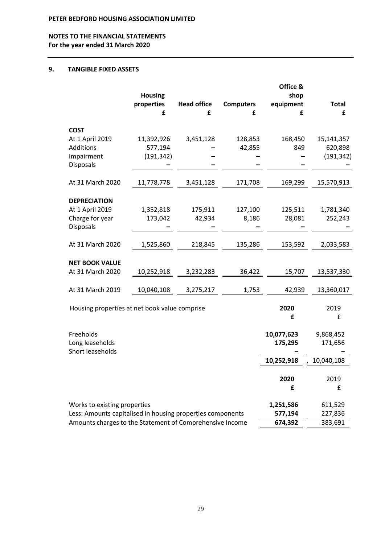## **9. TANGIBLE FIXED ASSETS**

| <b>COST</b><br>At 1 April 2019<br>Additions<br>Impairment  | 11,392,926<br>577,194<br>(191, 342) | 3,451,128 | 128,853 |            |            |
|------------------------------------------------------------|-------------------------------------|-----------|---------|------------|------------|
|                                                            |                                     |           |         |            |            |
|                                                            |                                     |           |         | 168,450    | 15,141,357 |
|                                                            |                                     |           | 42,855  | 849        | 620,898    |
|                                                            |                                     |           |         |            | (191, 342) |
| Disposals                                                  |                                     |           |         |            |            |
| At 31 March 2020                                           | 11,778,778                          | 3,451,128 | 171,708 | 169,299    | 15,570,913 |
| <b>DEPRECIATION</b>                                        |                                     |           |         |            |            |
| At 1 April 2019                                            | 1,352,818                           | 175,911   | 127,100 | 125,511    | 1,781,340  |
| Charge for year                                            | 173,042                             | 42,934    | 8,186   | 28,081     | 252,243    |
| Disposals                                                  |                                     |           |         |            |            |
| At 31 March 2020                                           | 1,525,860                           | 218,845   | 135,286 | 153,592    | 2,033,583  |
| <b>NET BOOK VALUE</b>                                      |                                     |           |         |            |            |
| At 31 March 2020                                           | 10,252,918                          | 3,232,283 | 36,422  | 15,707     | 13,537,330 |
| At 31 March 2019                                           | 10,040,108                          | 3,275,217 | 1,753   | 42,939     | 13,360,017 |
|                                                            |                                     |           |         |            |            |
| Housing properties at net book value comprise              |                                     |           |         | 2020       | 2019       |
|                                                            |                                     |           |         | £          | £          |
| Freeholds                                                  |                                     |           |         | 10,077,623 | 9,868,452  |
| Long leaseholds                                            |                                     |           |         | 175,295    | 171,656    |
| Short leaseholds                                           |                                     |           |         |            |            |
|                                                            |                                     |           |         | 10,252,918 | 10,040,108 |
|                                                            |                                     |           |         | 2020       | 2019       |
|                                                            |                                     |           |         | £          | £          |
| Works to existing properties                               |                                     |           |         | 1,251,586  | 611,529    |
| Less: Amounts capitalised in housing properties components |                                     |           |         | 577,194    | 227,836    |
| Amounts charges to the Statement of Comprehensive Income   |                                     |           |         | 674,392    | 383,691    |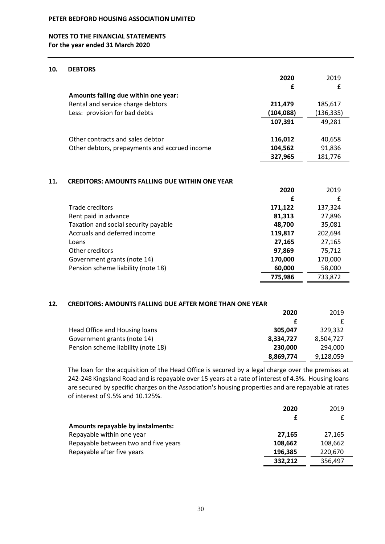# **NOTES TO THE FINANCIAL STATEMENTS For the year ended 31 March 2020**

### **10. DEBTORS**

|                                               | 2020       | 2019       |
|-----------------------------------------------|------------|------------|
|                                               | £          | £          |
| Amounts falling due within one year:          |            |            |
| Rental and service charge debtors             | 211,479    | 185,617    |
| Less: provision for bad debts                 | (104, 088) | (136, 335) |
|                                               | 107,391    | 49,281     |
| Other contracts and sales debtor              | 116,012    | 40,658     |
| Other debtors, prepayments and accrued income | 104,562    | 91,836     |
|                                               | 327.965    | 181,776    |

# **11. CREDITORS: AMOUNTS FALLING DUE WITHIN ONE YEAR**

|                                      | 2020    | 2019    |
|--------------------------------------|---------|---------|
|                                      | £       | £       |
| Trade creditors                      | 171,122 | 137,324 |
| Rent paid in advance                 | 81,313  | 27,896  |
| Taxation and social security payable | 48,700  | 35,081  |
| Accruals and deferred income         | 119,817 | 202,694 |
| Loans                                | 27,165  | 27,165  |
| Other creditors                      | 97,869  | 75,712  |
| Government grants (note 14)          | 170,000 | 170,000 |
| Pension scheme liability (note 18)   | 60,000  | 58,000  |
|                                      | 775,986 | 733,872 |

### **12. CREDITORS: AMOUNTS FALLING DUE AFTER MORE THAN ONE YEAR**

|                                    | 2020      | 2019      |
|------------------------------------|-----------|-----------|
|                                    |           | f         |
| Head Office and Housing loans      | 305.047   | 329,332   |
| Government grants (note 14)        | 8,334,727 | 8,504,727 |
| Pension scheme liability (note 18) | 230,000   | 294,000   |
|                                    | 8,869,774 | 9,128,059 |

The loan for the acquisition of the Head Office is secured by a legal charge over the premises at 242-248 Kingsland Road and is repayable over 15 years at a rate of interest of 4.3%. Housing loans are secured by specific charges on the Association's housing properties and are repayable at rates of interest of 9.5% and 10.125%.

|                                      | 2020    | 2019    |
|--------------------------------------|---------|---------|
|                                      |         | f       |
| Amounts repayable by instalments:    |         |         |
| Repayable within one year            | 27.165  | 27,165  |
| Repayable between two and five years | 108.662 | 108.662 |
| Repayable after five years           | 196,385 | 220,670 |
|                                      | 332,212 | 356,497 |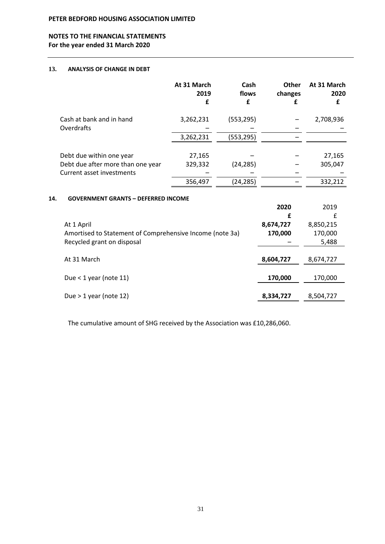# **NOTES TO THE FINANCIAL STATEMENTS For the year ended 31 March 2020**

### **13. ANALYSIS OF CHANGE IN DEBT**

|                                        | At 31 March<br>2019<br>£ | Cash<br>flows<br>£       | Other<br>changes | At 31 March<br>2020<br>£ |
|----------------------------------------|--------------------------|--------------------------|------------------|--------------------------|
| Cash at bank and in hand<br>Overdrafts | 3,262,231<br>3,262,231   | (553, 295)<br>(553, 295) |                  | 2,708,936                |
|                                        |                          |                          |                  |                          |
| Debt due within one year               | 27,165                   |                          |                  | 27,165                   |
| Debt due after more than one year      | 329,332                  | (24, 285)                |                  | 305,047                  |
| Current asset investments              |                          |                          |                  |                          |
|                                        | 356,497                  | (24, 285)                |                  | 332,212                  |

#### **14. GOVERNMENT GRANTS – DEFERRED INCOME**

|                                                                                                      | 2020                      | 2019                               |
|------------------------------------------------------------------------------------------------------|---------------------------|------------------------------------|
| At 1 April<br>Amortised to Statement of Comprehensive Income (note 3a)<br>Recycled grant on disposal | £<br>8,674,727<br>170,000 | £<br>8,850,215<br>170,000<br>5,488 |
| At 31 March                                                                                          | 8,604,727                 | 8,674,727                          |
| Due < 1 year (note 11)                                                                               | 170,000                   | 170,000                            |
| Due $>$ 1 year (note 12)                                                                             | 8,334,727                 | 8,504,727                          |

The cumulative amount of SHG received by the Association was £10,286,060.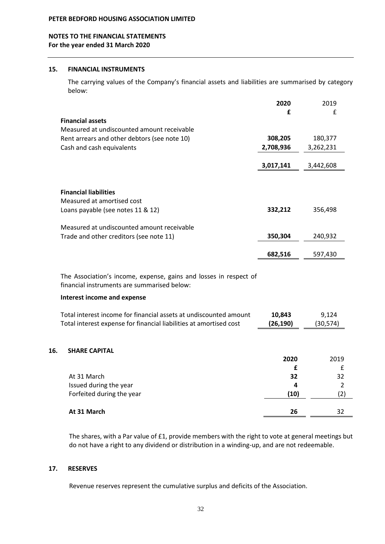## **NOTES TO THE FINANCIAL STATEMENTS For the year ended 31 March 2020**

#### **15. FINANCIAL INSTRUMENTS**

The carrying values of the Company's financial assets and liabilities are summarised by category below:

|                                                                                                                  | 2020      | 2019           |
|------------------------------------------------------------------------------------------------------------------|-----------|----------------|
|                                                                                                                  | f         | £              |
| <b>Financial assets</b><br>Measured at undiscounted amount receivable                                            |           |                |
| Rent arrears and other debtors (see note 10)                                                                     | 308,205   | 180,377        |
| Cash and cash equivalents                                                                                        | 2,708,936 | 3,262,231      |
|                                                                                                                  |           |                |
|                                                                                                                  | 3,017,141 | 3,442,608      |
|                                                                                                                  |           |                |
| <b>Financial liabilities</b>                                                                                     |           |                |
| Measured at amortised cost                                                                                       |           |                |
| Loans payable (see notes 11 & 12)                                                                                | 332,212   | 356,498        |
| Measured at undiscounted amount receivable                                                                       |           |                |
| Trade and other creditors (see note 11)                                                                          | 350,304   | 240,932        |
|                                                                                                                  |           |                |
|                                                                                                                  | 682,516   | 597,430        |
|                                                                                                                  |           |                |
| The Association's income, expense, gains and losses in respect of<br>financial instruments are summarised below: |           |                |
| Interest income and expense                                                                                      |           |                |
| Total interest income for financial assets at undiscounted amount                                                | 10,843    | 9,124          |
| Total interest expense for financial liabilities at amortised cost                                               | (26, 190) | (30, 574)      |
|                                                                                                                  |           |                |
|                                                                                                                  |           |                |
| 16.<br><b>SHARE CAPITAL</b>                                                                                      |           |                |
|                                                                                                                  | 2020      | 2019           |
|                                                                                                                  | £         | £              |
| At 31 March                                                                                                      | 32        | 32             |
| Issued during the year                                                                                           | 4         | $\overline{2}$ |
| Forfeited during the year                                                                                        | (10)      | (2)            |
| At 31 March                                                                                                      | 26        | 32             |

The shares, with a Par value of £1, provide members with the right to vote at general meetings but do not have a right to any dividend or distribution in a winding-up, and are not redeemable.

### **17. RESERVES**

Revenue reserves represent the cumulative surplus and deficits of the Association.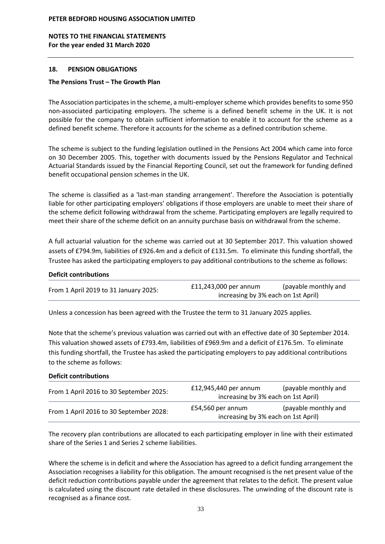## **NOTES TO THE FINANCIAL STATEMENTS For the year ended 31 March 2020**

## **18. PENSION OBLIGATIONS**

### **The Pensions Trust – The Growth Plan**

The Association participates in the scheme, a multi-employer scheme which provides benefits to some 950 non-associated participating employers. The scheme is a defined benefit scheme in the UK. It is not possible for the company to obtain sufficient information to enable it to account for the scheme as a defined benefit scheme. Therefore it accounts for the scheme as a defined contribution scheme.

The scheme is subject to the funding legislation outlined in the Pensions Act 2004 which came into force on 30 December 2005. This, together with documents issued by the Pensions Regulator and Technical Actuarial Standards issued by the Financial Reporting Council, set out the framework for funding defined benefit occupational pension schemes in the UK.

The scheme is classified as a 'last-man standing arrangement'. Therefore the Association is potentially liable for other participating employers' obligations if those employers are unable to meet their share of the scheme deficit following withdrawal from the scheme. Participating employers are legally required to meet their share of the scheme deficit on an annuity purchase basis on withdrawal from the scheme.

A full actuarial valuation for the scheme was carried out at 30 September 2017. This valuation showed assets of £794.9m, liabilities of £926.4m and a deficit of £131.5m. To eliminate this funding shortfall, the Trustee has asked the participating employers to pay additional contributions to the scheme as follows:

| From 1 April 2019 to 31 January 2025: | £11,243,000 per annum               | (payable monthly and |
|---------------------------------------|-------------------------------------|----------------------|
|                                       | increasing by 3% each on 1st April) |                      |

Unless a concession has been agreed with the Trustee the term to 31 January 2025 applies.

Note that the scheme's previous valuation was carried out with an effective date of 30 September 2014. This valuation showed assets of £793.4m, liabilities of £969.9m and a deficit of £176.5m. To eliminate this funding shortfall, the Trustee has asked the participating employers to pay additional contributions to the scheme as follows:

#### **Deficit contributions**

**Deficit contributions**

| From 1 April 2016 to 30 September 2025: | $£12,945,440$ per annum<br>increasing by 3% each on 1st April) | (payable monthly and |
|-----------------------------------------|----------------------------------------------------------------|----------------------|
| From 1 April 2016 to 30 September 2028: | £54,560 per annum<br>increasing by 3% each on 1st April)       | (payable monthly and |

The recovery plan contributions are allocated to each participating employer in line with their estimated share of the Series 1 and Series 2 scheme liabilities.

Where the scheme is in deficit and where the Association has agreed to a deficit funding arrangement the Association recognises a liability for this obligation. The amount recognised is the net present value of the deficit reduction contributions payable under the agreement that relates to the deficit. The present value is calculated using the discount rate detailed in these disclosures. The unwinding of the discount rate is recognised as a finance cost.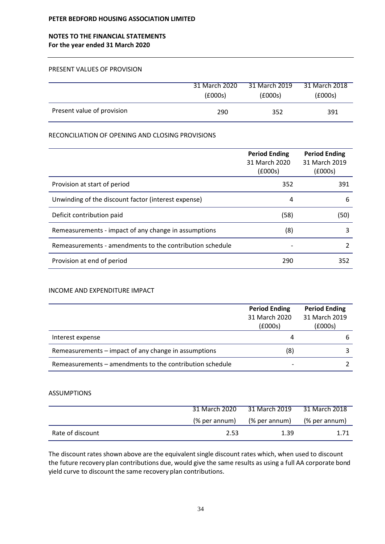## **NOTES TO THE FINANCIAL STATEMENTS For the year ended 31 March 2020**

#### PRESENT VALUES OF PROVISION

|                            | 31 March 2020 | 31 March 2019 | 31 March 2018 |
|----------------------------|---------------|---------------|---------------|
|                            | (£000s)       | (£000s)       | (£000s)       |
| Present value of provision | 290           | 352           | 391           |

## RECONCILIATION OF OPENING AND CLOSING PROVISIONS

|                                                          | <b>Period Ending</b><br>31 March 2020<br>(£000s) | <b>Period Ending</b><br>31 March 2019<br>(£000s) |
|----------------------------------------------------------|--------------------------------------------------|--------------------------------------------------|
| Provision at start of period                             | 352                                              | 391                                              |
| Unwinding of the discount factor (interest expense)      | 4                                                | 6                                                |
| Deficit contribution paid                                | (58)                                             | (50)                                             |
| Remeasurements - impact of any change in assumptions     | (8)                                              |                                                  |
| Remeasurements - amendments to the contribution schedule |                                                  |                                                  |
| Provision at end of period                               | 290                                              | 352                                              |

## INCOME AND EXPENDITURE IMPACT

|                                                          | <b>Period Ending</b> | <b>Period Ending</b> |
|----------------------------------------------------------|----------------------|----------------------|
|                                                          | 31 March 2020        | 31 March 2019        |
|                                                          | (£000s)              | (£000s)              |
| Interest expense                                         | 4                    |                      |
| Remeasurements – impact of any change in assumptions     | (8)                  |                      |
| Remeasurements – amendments to the contribution schedule |                      |                      |

# ASSUMPTIONS

|                  | 31 March 2020 | 31 March 2019 | 31 March 2018 |
|------------------|---------------|---------------|---------------|
|                  | (% per annum) | (% per annum) | (% per annum) |
| Rate of discount | 2.53          | 1.39          | 1.71          |

The discount rates shown above are the equivalent single discount rates which, when used to discount the future recovery plan contributions due, would give the same results as using a full AA corporate bond yield curve to discount the same recovery plan contributions.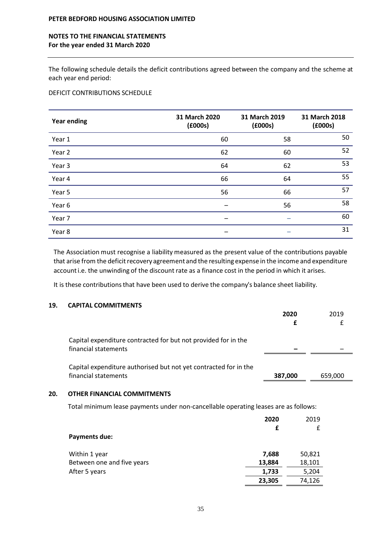## **NOTES TO THE FINANCIAL STATEMENTS For the year ended 31 March 2020**

The following schedule details the deficit contributions agreed between the company and the scheme at each year end period:

## DEFICIT CONTRIBUTIONS SCHEDULE

| <b>Year ending</b> | 31 March 2020<br>(£000s) | 31 March 2019<br>(£000s) | 31 March 2018<br>(£000s) |
|--------------------|--------------------------|--------------------------|--------------------------|
| Year 1             | 60                       | 58                       | 50                       |
| Year 2             | 62                       | 60                       | 52                       |
| Year 3             | 64                       | 62                       | 53                       |
| Year 4             | 66                       | 64                       | 55                       |
| Year 5             | 56                       | 66                       | 57                       |
| Year 6             |                          | 56                       | 58                       |
| Year 7             |                          |                          | 60                       |
| Year 8             |                          |                          | 31                       |

The Association must recognise a liability measured as the present value of the contributions payable that arise from the deficit recovery agreement and the resulting expense in the income and expenditure account i.e. the unwinding of the discount rate as a finance cost in the period in which it arises.

It is these contributions that have been used to derive the company's balance sheet liability.

## **19. CAPITAL COMMITMENTS**

|     |                                                                                          | 2020<br>£ | 2019<br>f |  |  |
|-----|------------------------------------------------------------------------------------------|-----------|-----------|--|--|
|     | Capital expenditure contracted for but not provided for in the<br>financial statements   |           |           |  |  |
|     | Capital expenditure authorised but not yet contracted for in the<br>financial statements | 387,000   | 659,000   |  |  |
| 20. | <b>OTHER FINANCIAL COMMITMENTS</b>                                                       |           |           |  |  |
|     | Total minimum lease payments under non-cancellable operating leases are as follows:      |           |           |  |  |

|                            | 2020   | 2019   |
|----------------------------|--------|--------|
|                            | £      |        |
| Payments due:              |        |        |
| Within 1 year              | 7,688  | 50,821 |
| Between one and five years | 13,884 | 18,101 |
| After 5 years              | 1,733  | 5,204  |
|                            | 23,305 | 74,126 |